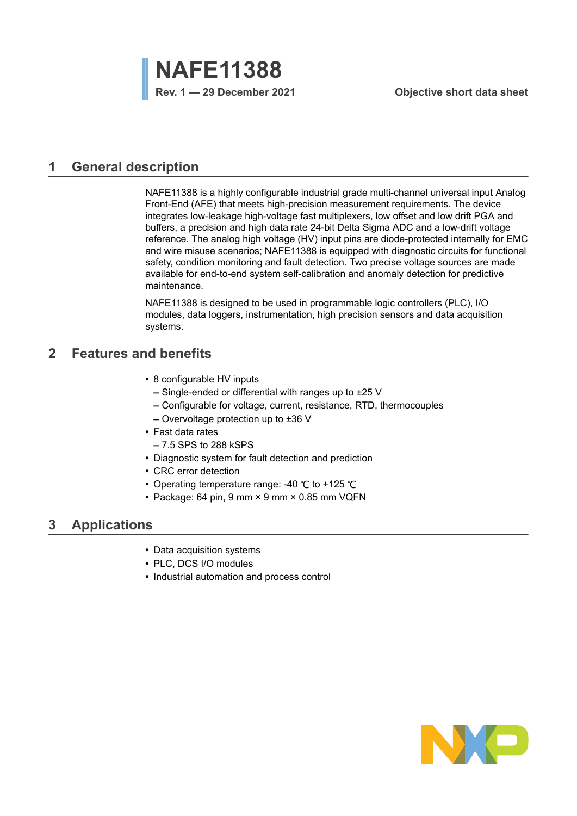

### <span id="page-0-0"></span>**1 General description**

NAFE11388 is a highly configurable industrial grade multi-channel universal input Analog Front-End (AFE) that meets high-precision measurement requirements. The device integrates low-leakage high-voltage fast multiplexers, low offset and low drift PGA and buffers, a precision and high data rate 24-bit Delta Sigma ADC and a low-drift voltage reference. The analog high voltage (HV) input pins are diode-protected internally for EMC and wire misuse scenarios; NAFE11388 is equipped with diagnostic circuits for functional safety, condition monitoring and fault detection. Two precise voltage sources are made available for end-to-end system self-calibration and anomaly detection for predictive maintenance.

NAFE11388 is designed to be used in programmable logic controllers (PLC), I/O modules, data loggers, instrumentation, high precision sensors and data acquisition systems.

## <span id="page-0-1"></span>**2 Features and benefits**

- **•** 8 configurable HV inputs
	- **–** Single-ended or differential with ranges up to ±25 V
	- **–** Configurable for voltage, current, resistance, RTD, thermocouples
	- **–** Overvoltage protection up to ±36 V
- **•** Fast data rates
	- **–** 7.5 SPS to 288 kSPS
- **•** Diagnostic system for fault detection and prediction
- **•** CRC error detection
- **•** Operating temperature range: -40 ℃ to +125 ℃
- **•** Package: 64 pin, 9 mm × 9 mm × 0.85 mm VQFN

#### <span id="page-0-2"></span>**3 Applications**

- **•** Data acquisition systems
- **•** PLC, DCS I/O modules
- **•** Industrial automation and process control

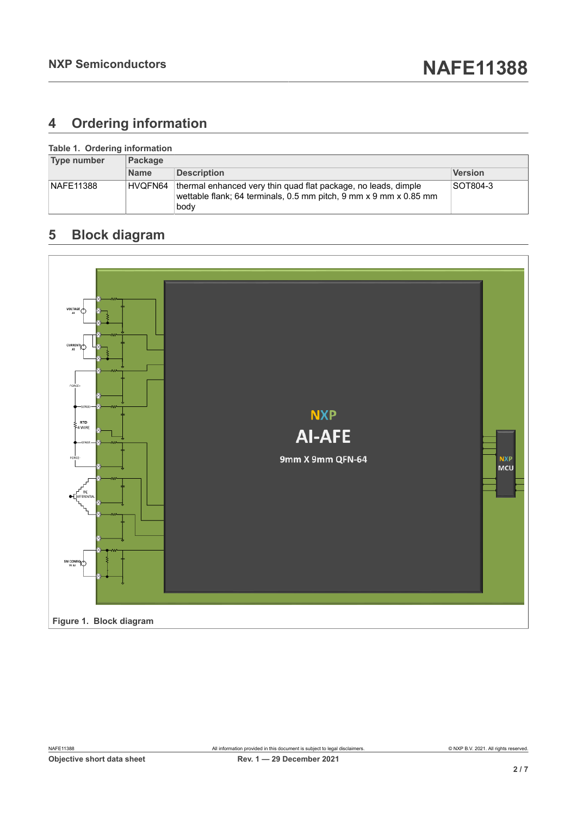# <span id="page-1-0"></span>**4 Ordering information**

| Table 1. Ordering information<br>Type number | <b>Package</b> |                                                                                                                                             |          |  |
|----------------------------------------------|----------------|---------------------------------------------------------------------------------------------------------------------------------------------|----------|--|
|                                              | <b>Name</b>    | <b>Description</b>                                                                                                                          | Version  |  |
| <b>NAFE11388</b>                             | HVQFN64        | thermal enhanced very thin quad flat package, no leads, dimple<br>wettable flank; 64 terminals, 0.5 mm pitch, 9 mm x 9 mm x 0.85 mm<br>body | SOT804-3 |  |

# <span id="page-1-1"></span>**5 Block diagram**

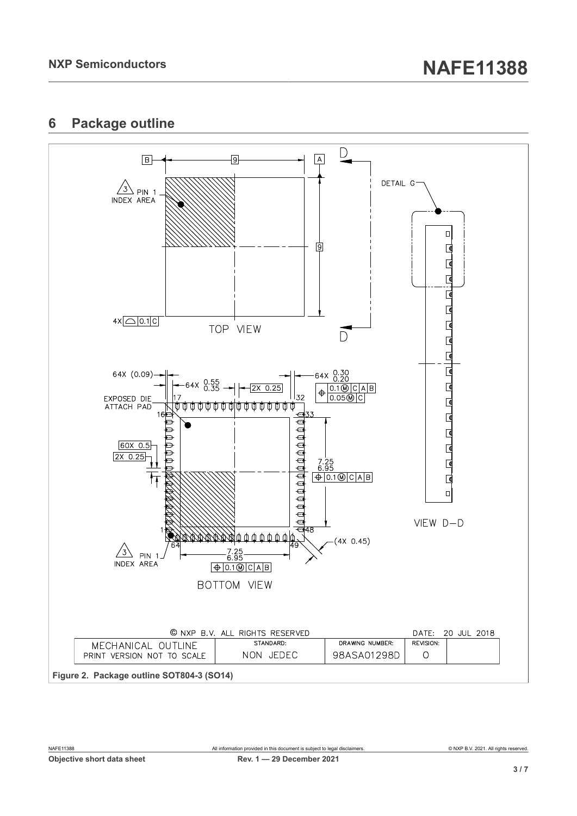# <span id="page-2-0"></span>**6 Package outline**

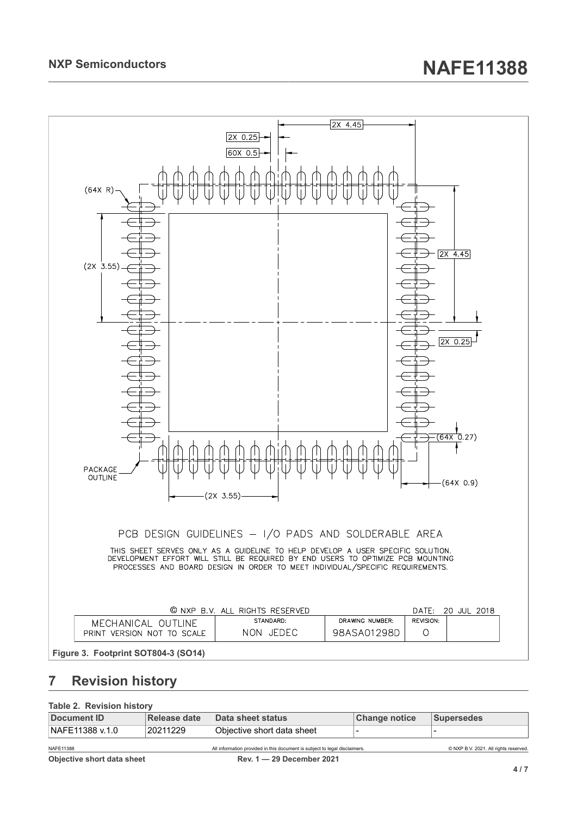

# <span id="page-3-0"></span>**7 Revision history**

#### **Table 2. Revision history**

| Document ID      | Release date | Data sheet status                                                          | Change notice | Supersedes                            |  |  |  |
|------------------|--------------|----------------------------------------------------------------------------|---------------|---------------------------------------|--|--|--|
| NAFE11388 v.1.0  | 20211229     | ∣Obiective short data sheet                                                |               |                                       |  |  |  |
| <b>NAFE11388</b> |              | All information provided in this document is subject to legal disclaimers. |               | © NXP B.V. 2021. All rights reserved. |  |  |  |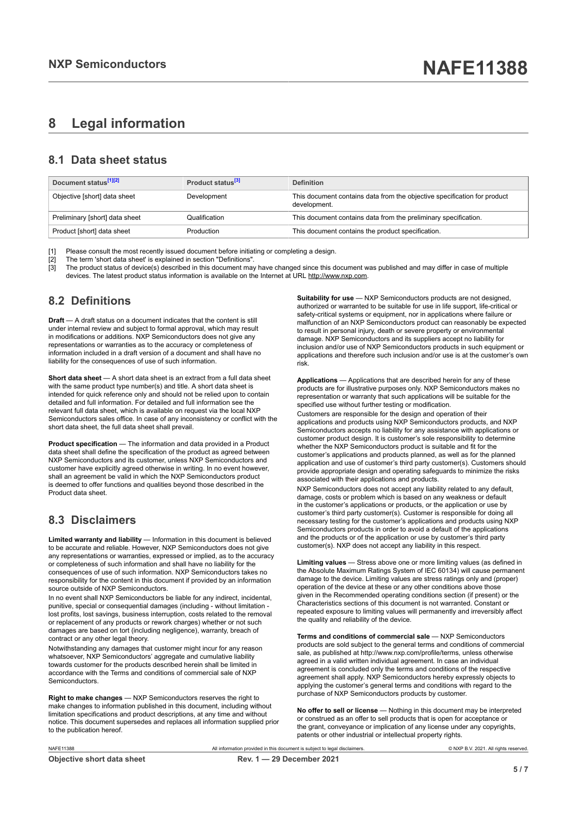## <span id="page-4-0"></span>**8 Legal information**

#### **8.1 Data sheet status**

| Document status <sup>[1][2]</sup> | Product status <sup>[3]</sup> | <b>Definition</b>                                                                        |
|-----------------------------------|-------------------------------|------------------------------------------------------------------------------------------|
| Objective [short] data sheet      | Development                   | This document contains data from the objective specification for product<br>development. |
| Preliminary [short] data sheet    | Qualification                 | This document contains data from the preliminary specification.                          |
| Product [short] data sheet        | Production                    | This document contains the product specification.                                        |

[1] Please consult the most recently issued document before initiating or completing a design.<br>[2] The term 'short data sheet' is explained in section "Definitions".

[2] The term 'short data sheet' is explained in section "Definitions".<br>[2] The term 'short data sheet' is explained in section "Definitions".

[3] The product status of device(s) described in this document may have changed since this document was published and may differ in case of multiple devices. The latest product status information is available on the Internet at URL http://www.nxp.com.

#### **8.2 Definitions**

**Draft** — A draft status on a document indicates that the content is still under internal review and subject to formal approval, which may result in modifications or additions. NXP Semiconductors does not give any representations or warranties as to the accuracy or completeness of information included in a draft version of a document and shall have no liability for the consequences of use of such information.

**Short data sheet** — A short data sheet is an extract from a full data sheet with the same product type number(s) and title. A short data sheet is intended for quick reference only and should not be relied upon to contain detailed and full information. For detailed and full information see the relevant full data sheet, which is available on request via the local NXP Semiconductors sales office. In case of any inconsistency or conflict with the short data sheet, the full data sheet shall prevail.

**Product specification** — The information and data provided in a Product data sheet shall define the specification of the product as agreed between NXP Semiconductors and its customer, unless NXP Semiconductors and customer have explicitly agreed otherwise in writing. In no event however, shall an agreement be valid in which the NXP Semiconductors product is deemed to offer functions and qualities beyond those described in the Product data sheet.

#### **8.3 Disclaimers**

**Limited warranty and liability** — Information in this document is believed to be accurate and reliable. However, NXP Semiconductors does not give any representations or warranties, expressed or implied, as to the accuracy or completeness of such information and shall have no liability for the consequences of use of such information. NXP Semiconductors takes no responsibility for the content in this document if provided by an information source outside of NXP Semiconductors.

In no event shall NXP Semiconductors be liable for any indirect, incidental, punitive, special or consequential damages (including - without limitation lost profits, lost savings, business interruption, costs related to the removal or replacement of any products or rework charges) whether or not such damages are based on tort (including negligence), warranty, breach of contract or any other legal theory.

Notwithstanding any damages that customer might incur for any reason whatsoever, NXP Semiconductors' aggregate and cumulative liability towards customer for the products described herein shall be limited in accordance with the Terms and conditions of commercial sale of NXP Semiconductors.

**Right to make changes** — NXP Semiconductors reserves the right to make changes to information published in this document, including without limitation specifications and product descriptions, at any time and without notice. This document supersedes and replaces all information supplied prior to the publication hereof.

**Suitability for use** — NXP Semiconductors products are not designed, authorized or warranted to be suitable for use in life support, life-critical or safety-critical systems or equipment, nor in applications where failure or malfunction of an NXP Semiconductors product can reasonably be expected to result in personal injury, death or severe property or environmental damage. NXP Semiconductors and its suppliers accept no liability for inclusion and/or use of NXP Semiconductors products in such equipment or applications and therefore such inclusion and/or use is at the customer's own risk.

**Applications** — Applications that are described herein for any of these products are for illustrative purposes only. NXP Semiconductors makes no representation or warranty that such applications will be suitable for the specified use without further testing or modification.

Customers are responsible for the design and operation of their applications and products using NXP Semiconductors products, and NXP Semiconductors accepts no liability for any assistance with applications or customer product design. It is customer's sole responsibility to determine whether the NXP Semiconductors product is suitable and fit for the customer's applications and products planned, as well as for the planned application and use of customer's third party customer(s). Customers should provide appropriate design and operating safeguards to minimize the risks associated with their applications and products.

NXP Semiconductors does not accept any liability related to any default, damage, costs or problem which is based on any weakness or default in the customer's applications or products, or the application or use by customer's third party customer(s). Customer is responsible for doing all necessary testing for the customer's applications and products using NXP Semiconductors products in order to avoid a default of the applications and the products or of the application or use by customer's third party customer(s). NXP does not accept any liability in this respect.

**Limiting values** — Stress above one or more limiting values (as defined in the Absolute Maximum Ratings System of IEC 60134) will cause permanent damage to the device. Limiting values are stress ratings only and (proper) operation of the device at these or any other conditions above those given in the Recommended operating conditions section (if present) or the Characteristics sections of this document is not warranted. Constant or repeated exposure to limiting values will permanently and irreversibly affect the quality and reliability of the device.

**Terms and conditions of commercial sale** — NXP Semiconductors products are sold subject to the general terms and conditions of commercial sale, as published at http://www.nxp.com/profile/terms, unless otherwise agreed in a valid written individual agreement. In case an individual agreement is concluded only the terms and conditions of the respective agreement shall apply. NXP Semiconductors hereby expressly objects to applying the customer's general terms and conditions with regard to the purchase of NXP Semiconductors products by customer.

**No offer to sell or license** — Nothing in this document may be interpreted or construed as an offer to sell products that is open for acceptance or the grant, conveyance or implication of any license under any copyrights, patents or other industrial or intellectual property rights.

**Objective short data sheet Rev. 1 — 29 December 2021**

All information provided in this document is subject to legal disclaimers. **Example 1998** CO21. All rights reserved.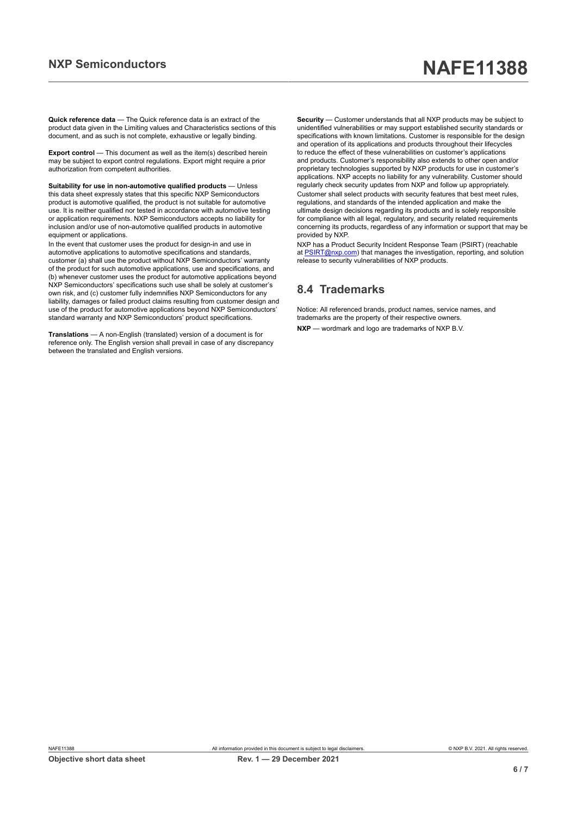# **NXP Semiconductors NAFE11388**

**Quick reference data** — The Quick reference data is an extract of the product data given in the Limiting values and Characteristics sections of this document, and as such is not complete, exhaustive or legally binding.

**Export control** — This document as well as the item(s) described herein may be subject to export control regulations. Export might require a prior authorization from competent authorities.

**Suitability for use in non-automotive qualified products** — Unless this data sheet expressly states that this specific NXP Semiconductors product is automotive qualified, the product is not suitable for automotive use. It is neither qualified nor tested in accordance with automotive testing or application requirements. NXP Semiconductors accepts no liability for inclusion and/or use of non-automotive qualified products in automotive equipment or applications.

In the event that customer uses the product for design-in and use in automotive applications to automotive specifications and standards, customer (a) shall use the product without NXP Semiconductors' warranty of the product for such automotive applications, use and specifications, and (b) whenever customer uses the product for automotive applications beyond NXP Semiconductors' specifications such use shall be solely at customer's own risk, and (c) customer fully indemnifies NXP Semiconductors for any liability, damages or failed product claims resulting from customer design and use of the product for automotive applications beyond NXP Semiconductors' standard warranty and NXP Semiconductors' product specifications.

**Translations** — A non-English (translated) version of a document is for reference only. The English version shall prevail in case of any discrepancy between the translated and English versions.

**Security** — Customer understands that all NXP products may be subject to unidentified vulnerabilities or may support established security standards or specifications with known limitations. Customer is responsible for the design and operation of its applications and products throughout their lifecycles to reduce the effect of these vulnerabilities on customer's applications and products. Customer's responsibility also extends to other open and/or proprietary technologies supported by NXP products for use in customer's applications. NXP accepts no liability for any vulnerability. Customer should regularly check security updates from NXP and follow up appropriately. Customer shall select products with security features that best meet rules, regulations, and standards of the intended application and make the ultimate design decisions regarding its products and is solely responsible for compliance with all legal, regulatory, and security related requirements concerning its products, regardless of any information or support that may be provided by NXP.

NXP has a Product Security Incident Response Team (PSIRT) (reachable at [PSIRT@nxp.com](mailto:PSIRT@nxp.com)) that manages the investigation, reporting, and solution release to security vulnerabilities of NXP products.

#### **8.4 Trademarks**

Notice: All referenced brands, product names, service names, and trademarks are the property of their respective owners. **NXP** — wordmark and logo are trademarks of NXP B.V.